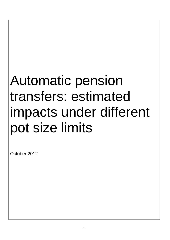# Automatic pension transfers: estimated impacts under different pot size limits

October 2012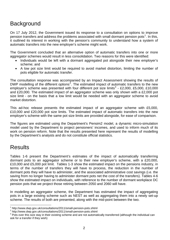## **Background**

On 17 July 2012, the Government issued its response to a consultation on options to improve pension transfers and address the problems associated with small dormant pension pots<sup>[1](#page-1-0)</sup>. In this, it outlined its interest in working with the pension's community to understand how a system of automatic transfers into the new employer's scheme might work.

The Government concluded that an alternative option of automatic transfers into one or more aggregator schemes would result in less consolidation. Two reasons for this were identified:

- Individuals would be left with a dormant aggregated pot alongside their new employer's scheme; and
- A low pot size limit would be required to avoid market distortion, limiting the number of pots eligible for automatic transfer.

The consultation response was accompanied by an Impact Assessment showing the results of DWP modelling of the different options<sup>[2](#page-1-1)</sup>. The estimated impact of automatic transfers to the new employer's scheme was presented with four different pot size limits<sup>[3](#page-1-2)</sup> - £2,000, £5,000, £10,000 and £20,000. The estimated impact of an aggregator scheme was only shown with a £2,000 pot size limit - on the basis that a low limit would be needed with an aggregator scheme to avoid market distortion.

This ad-hoc release presents the estimated impact of an aggregator scheme with £5,000, £10,000 and £20,000 pot size limits. The estimated impact of automatic transfers into the new employer's scheme with the same pot size limits are provided alongside, for ease of comparison.

The figures are estimated using the Department's Pensim2 model, a dynamic micro-simulation model used by the Department to project pensioners' incomes, and used to inform much of its work on pension reform. Note that the results presented here represent the results of modelling by the Department's analysts and do not constitute official statistics.

## **Results**

 $\overline{a}$ 

Tables 1-6 present the Department's estimates of the impact of automatically transferring dormant pots to an aggregator scheme or to their new employer's scheme, with a £20,000, £10,000 and £5,000 pot limit. Tables 1-3 show the estimated impact on the pensions industry, in terms of the number of transfers they will have to process, the reduction in the number of dormant pots they will have to administer, and the associated administrative cost savings (i.e. the saving from no longer having to administer dormant pots net the cost of the transfers). Tables 4-6 show the estimated impact on individuals, with reference to the number of dormant workplace DC pension pots that we project those retiring between 2050 and 2060 will have.

In modelling an aggregator scheme, the Department has estimated the impact of aggregating pots in a large existing scheme such as NEST as well as aggregating them into a newly set-up scheme. The results of both are presented, along with the mid-point between the two.

<span id="page-1-0"></span><sup>&</sup>lt;sup>1</sup> http://www.dwp.gov.uk/consultations/2011/small-pension-pots.shtml<br><sup>2</sup> http://www.dwp.gov.uk/consultations/2011/small-pension-pots.shtml

<span id="page-1-1"></span>http://www.dwp.gov.uk/consultations/2011/small-pension-pots.shtml <sup>3</sup>

<span id="page-1-2"></span> $3$  Pots over this size stay in their existing scheme and are not automatically transferred (although the individual can ask for a transfer if they wish)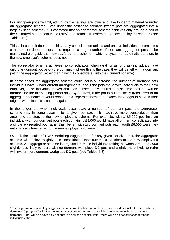For any given pot size limit, administrative savings are lower and take longer to materialize under an aggregator scheme. Even under the best-case scenario (where pots are aggregated into a large existing scheme), it is estimated that an aggregator scheme achieves only around a half of the estimated net present value (NPV) of automatic transfers to the new employer's scheme (see Tables 1-3).

This is because it does not achieve any consolidation unless and until an individual accumulates a number of dormant pots, and requires a large number of dormant aggregator pots to be maintained alongside the individual's current scheme – which a system of automatic transfers to the new employer's scheme does not.

The aggregator scheme achieves no consolidation when (and for as long as) individuals have only one dormant pot below the pot limit – where this is the case, they will be left with a dormant pot in the aggregator (rather than having it consolidated into their current scheme)<sup>[4](#page-2-0)</sup>.

In some cases the aggregator scheme could actually increase the number of dormant pots individuals have. Under current arrangements (and if the pots move with individuals to their new employer), if an individual leaves and then subsequently returns to a scheme their pot will be dormant for the intervening period only. By contrast, if the pot is automatically transferred to an aggregator scheme, it would remain as a separate dormant pot when they begin to save in their original workplace DC scheme again.

In the longer-run, when individuals accumulate a number of dormant pots, the aggregator scheme may in some cases  $-$  for a given pot size limit  $-$  achieve more consolidation than automatic transfers to the new employer's scheme. For example, with a £5,000 pot limit, an individual with four dormant pots each containing £3,000 would have all of them consolidated into a single aggregated pot, rather than be left with two dormant pots each worth £6,000 were they automatically transferred to the new employer's scheme.

Overall, the results of DWP modelling suggest that, for any given pot size limit, the aggregator scheme will achieve slightly less consolidation than automatic transfers to the new employer's scheme. An aggregator scheme is projected to make individuals retiring between 2050 and 2060 slightly less likely to retire with no dormant workplace DC pots and slightly more likely to retire with two or more dormant workplace DC pots (see Tables 4-6).

 $\overline{a}$ 

<span id="page-2-0"></span><sup>&</sup>lt;sup>4</sup> The Department's modelling suggests that on current policies around one in six individuals will retire with only one dormant DC pot (see Table 2 in the Impact Assessment). A proportion of those who retire with more than one dormant DC pot will also have only one that is below the pot size limit – there will be no consolidation for these individuals either.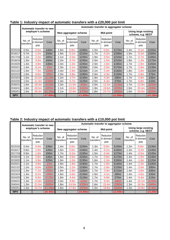|            | Automatic transfer to new |                                 | Automatic transfer to aggregator scheme |                       |                                 |           |                     |                                        |                                                  |                     |                                 |          |
|------------|---------------------------|---------------------------------|-----------------------------------------|-----------------------|---------------------------------|-----------|---------------------|----------------------------------------|--------------------------------------------------|---------------------|---------------------------------|----------|
|            | employer's scheme         |                                 |                                         | New aggregator scheme |                                 | Mid-point |                     |                                        | <b>Using large existing</b><br>scheme, e.g. NEST |                     |                                 |          |
|            | No. of<br>transfers       | Reduction<br>in dormant<br>pots | Cost                                    | No. of<br>transfers   | Reduction<br>in dormant<br>pots | Cost      | No. of<br>transfers | <b>Reduction</b><br>in dormant<br>pots | Cost                                             | No. of<br>transfers | Reduction<br>in dormant<br>pots | Cost     |
| 2015/16    | 0.5 <sub>m</sub>          | $-0.5m$                         | £40m                                    | 1.6 <sub>m</sub>      | 0.0 <sub>m</sub>                | £180m     | 1.5 <sub>m</sub>    | 0.0 <sub>m</sub>                       | £170m                                            | 1.4 <sub>m</sub>    | $-0.1m$                         | £155m    |
| 2016/17    | 0.7 <sub>m</sub>          | $-1.2m$                         | £50m                                    | 1.9 <sub>m</sub>      | $-0.1m$                         | £210m     | 1.7 <sub>m</sub>    | $-0.2m$                                | £190m                                            | 1.5 <sub>m</sub>    | $-0.2m$                         | £165m    |
| 2017/18    | 1.1 <sub>m</sub>          | $-2.2m$                         | £65m                                    | 2.1 <sub>m</sub>      | $-0.3m$                         | £235m     | 1.9 <sub>m</sub>    | $-0.5m$                                | £210m                                            | 1.7 <sub>m</sub>    | $-0.7m$                         | £185m    |
| 2018/19    | 1.3 <sub>m</sub>          | $-3.5m$                         | £60m                                    | 2.2 <sub>m</sub>      | $-0.7m$                         | £245m     | 2.0 <sub>m</sub>    | $-1.0m$                                | £210m                                            | 1.8 <sub>m</sub>    | $-1.3m$                         | £175m    |
| 2019/20    | 1.4 <sub>m</sub>          | $-4.8m$                         | £30m                                    | 2.3 <sub>m</sub>      | $-1.3m$                         | £235m     | 2.0 <sub>m</sub>    | $-1.6m$                                | £195m                                            | 1.7 <sub>m</sub>    | $-2.0m$                         | £155m    |
| 2020/21    | 1.4 <sub>m</sub>          | $-6.1m$                         | $-E5m$                                  | 2.3 <sub>m</sub>      | $-2.1m$                         | £220m     | 2.0 <sub>m</sub>    | $-2.5m$                                | £175m                                            | 1.7 <sub>m</sub>    | $-2.9m$                         | £130m    |
| 2021/22    | 1.5 <sub>m</sub>          | $-7.4m$                         | $-E35m$                                 | 2.4 <sub>m</sub>      | $-2.9m$                         | £210m     | 2.1 <sub>m</sub>    | $-3.4m$                                | £160m                                            | 1.8 <sub>m</sub>    | $-3.8m$                         | £110m    |
| 2022/23    | 1.6 <sub>m</sub>          | $-8.8m$                         | $-E65m$                                 | 2.3 <sub>m</sub>      | $-3.8m$                         | £180m     | 2.0 <sub>m</sub>    | $-4.3m$                                | £130m                                            | 1.7 <sub>m</sub>    | $-4.8m$                         | £75m     |
| 2023/24    | 1.6 <sub>m</sub>          | $-10.2m$                        | $-E110m$                                | 2.2 <sub>m</sub>      | $-4.7m$                         | £140m     | 1.9 <sub>m</sub>    | $-5.3m$                                | £90m                                             | 1.7 <sub>m</sub>    | $-5.8m$                         | £35m     |
| 2024/25    | 1.5 <sub>m</sub>          | $-11.4m$                        | $-E160m$                                | 2.3 <sub>m</sub>      | $-5.7m$                         | £125m     | 2.0 <sub>m</sub>    | $-6.3m$                                | £70m                                             | 1.7 <sub>m</sub>    | $-6.8m$                         | £10m     |
| 2030/31    | 1.6 <sub>m</sub>          | $-18.3m$                        | $-E410m$                                | 2.3 <sub>m</sub>      | $-11.5m$                        | $-E65m$   | 2.0 <sub>m</sub>    | $-12.2m$                               | $-E135m$                                         | 1.7 <sub>m</sub>    | $-12.8m$                        | $-E200m$ |
| 2040/41    | 1.6 <sub>m</sub>          | $-26.5m$                        | $-E855m$                                | 2.1 <sub>m</sub>      | $-18.8m$                        | $-E420m$  | 1.9 <sub>m</sub>    | $-19.6m$                               | $-E505m$                                         | 1.6 <sub>m</sub>    | $-20.4m$                        | $-E590m$ |
| 2050/51    | 1.5m                      | $-30.4m$                        | -£1.25bn                                | 2.1 <sub>m</sub>      | $-22.8m$                        | $-E725m$  | 1.8 <sub>m</sub>    | $-23.7m$                               | $-E830m$                                         | 1.6 <sub>m</sub>    | $-24.5m$                        | $-E935m$ |
| <b>NPV</b> |                           |                                 | <b>E7.90bn</b>                          |                       |                                 | -£1.65bn  |                     |                                        | $-E2.85bn$                                       |                     |                                 | -£4.10bn |

#### **Table 1: Industry impact of automatic transfers with a £20,000 pot limit**

#### **Table 2: Industry impact of automatic transfers with a £10,000 pot limit**

|            | Automatic transfer to new |                                 | Automatic transfer to aggregator scheme |                       |                                 |           |                     |                                           |                                                  |                     |                                        |            |
|------------|---------------------------|---------------------------------|-----------------------------------------|-----------------------|---------------------------------|-----------|---------------------|-------------------------------------------|--------------------------------------------------|---------------------|----------------------------------------|------------|
|            | employer's scheme         |                                 |                                         | New aggregator scheme |                                 | Mid-point |                     |                                           | <b>Using large existing</b><br>scheme, e.g. NEST |                     |                                        |            |
|            | No. of<br>transfers       | Reduction<br>in dormant<br>pots | Cost                                    | No. of<br>transfers   | Reduction<br>in dormant<br>pots | Cost      | No. of<br>transfers | <b>Reduction</b><br>lin dormant l<br>pots | Cost                                             | No. of<br>transfers | <b>Reduction</b><br>in dormant<br>pots | Cost       |
| 2015/16    | 0.4 <sub>m</sub>          | $-0.4m$                         | £30m                                    | 1.4 <sub>m</sub>      | 0.0 <sub>m</sub>                | £155m     | 1.3 <sub>m</sub>    | 0.0 <sub>m</sub>                          | £145m                                            | 1.2m                | 0.0 <sub>m</sub>                       | £130m      |
| 2016/17    | 0.6 <sub>m</sub>          | $-1.0m$                         | £45m                                    | 1.6m                  | 0.0 <sub>m</sub>                | £180m     | 1.4m                | $-0.1m$                                   | £160m                                            | 1.3 <sub>m</sub>    | $-0.2m$                                | £140m      |
| 2017/18    | 0.9 <sub>m</sub>          | $-1.8m$                         | £50m                                    | 1.7 <sub>m</sub>      | $-0.2m$                         | £195m     | 1.5 <sub>m</sub>    | $-0.4m$                                   | £170m                                            | 1.4 <sub>m</sub>    | $-0.5m$                                | £145m      |
| 2018/19    | 1.1 <sub>m</sub>          | $-2.8m$                         | £45m                                    | 1.9 <sub>m</sub>      | $-0.6m$                         | £205m     | 1.7 <sub>m</sub>    | $-0.8m$                                   | £175m                                            | 1.4 <sub>m</sub>    | $-1.0m$                                | £140m      |
| 2019/20    | 1.1 <sub>m</sub>          | $-3.9m$                         | £25m                                    | 1.9 <sub>m</sub>      | $-1.0m$                         | £195m     | 1.6 <sub>m</sub>    | $-1.3m$                                   | £160m                                            | 1.4 <sub>m</sub>    | $-1.6m$                                | £120m      |
| 2020/21    | 1.1 <sub>m</sub>          | $-4.9m$                         | $-E5m$                                  | 1.9 <sub>m</sub>      | $-1.6m$                         | £190m     | 1.7 <sub>m</sub>    | $-1.9m$                                   | £145m                                            | 1.4 <sub>m</sub>    | $-2.3m$                                | £100m      |
| 2021/22    | 1.2 <sub>m</sub>          | $-6.0m$                         | $-E30m$                                 | 2.0 <sub>m</sub>      | $-2.2m$                         | £180m     | 1.7 <sub>m</sub>    | $-2.6m$                                   | £135m                                            | 1.4 <sub>m</sub>    | $-3.0m$                                | £85m       |
| 2022/23    | 1.3 <sub>m</sub>          | $-7.1m$                         | $-E50m$                                 | 1.9 <sub>m</sub>      | $-2.9m$                         | £160m     | 1.7 <sub>m</sub>    | $-3.3m$                                   | £115m                                            | 1.4 <sub>m</sub>    | $-3.8m$                                | £65m       |
| 2023/24    | 1.3 <sub>m</sub>          | $-8.2m$                         | $-E90m$                                 | 1.9 <sub>m</sub>      | $-3.6m$                         | £130m     | 1.6 <sub>m</sub>    | $-4.1m$                                   | £85m                                             | 1.4 <sub>m</sub>    | $-4.6m$                                | £35m       |
| 2024/25    | 1.3 <sub>m</sub>          | $-9.3m$                         | $-E125m$                                | 1.9 <sub>m</sub>      | $-4.4m$                         | £120m     | 1.7 <sub>m</sub>    | $-4.9m$                                   | £70m                                             | 1.4 <sub>m</sub>    | $-5.4m$                                | £15m       |
| 2030/31    | 1.3 <sub>m</sub>          | $-14.8m$                        | $-E325m$                                | 2.0 <sub>m</sub>      | $-8.8m$                         | $-E20m$   | 1.7 <sub>m</sub>    | $-9.4m$                                   | $-E85m$                                          | 1.4 <sub>m</sub>    | $-10.1m$                               | $-E150m$   |
| 2040/41    | 1.3 <sub>m</sub>          | $-21.5m$                        | $-E695m$                                | 1.8 <sub>m</sub>      | $-14.5m$                        | $-E295m$  | 1.6 <sub>m</sub>    | $-15.4m$                                  | -£380m                                           | 1.3 <sub>m</sub>    | $-16.3m$                               | -£465m     |
| 2050/51    | 1.3 <sub>m</sub>          | $-24.7m$                        | -£1.00bn                                | 1.8 <sub>m</sub>      | $-17.8m$                        | $-E535m$  | 1.5 <sub>m</sub>    | $-18.8m$                                  | -£640m                                           | 1.3 <sub>m</sub>    | $-19.8m$                               | -£745m     |
| <b>NPV</b> |                           |                                 | $-E6.40bn$                              |                       |                                 | -£0.80bn  |                     |                                           | <b>-£2.00bn</b>                                  |                     |                                        | $-E3.20bn$ |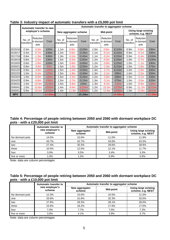|            |                     | Automatic transfer to new       |                       | Automatic transfer to aggregator scheme |                                 |          |                     |                                                  |          |                     |                                 |            |
|------------|---------------------|---------------------------------|-----------------------|-----------------------------------------|---------------------------------|----------|---------------------|--------------------------------------------------|----------|---------------------|---------------------------------|------------|
|            | employer's scheme   |                                 | New aggregator scheme |                                         | Mid-point                       |          |                     | <b>Using large existing</b><br>scheme, e.g. NEST |          |                     |                                 |            |
|            | No. of<br>transfers | Reduction<br>in dormant<br>pots | Cost                  | No. of<br>transfers                     | Reduction<br>in dormant<br>pots | Cost     | No. of<br>transfers | Reduction<br>in dormant<br>pots                  | Cost     | No. of<br>transfers | Reduction<br>in dormant<br>pots | Cost       |
| 2015/16    | 0.3 <sub>m</sub>    | $-0.3m$                         | £20m                  | 1.1 <sub>m</sub>                        | 0.0 <sub>m</sub>                | £120m    | 1.0 <sub>m</sub>    | 0.0 <sub>m</sub>                                 | £110m    | 0.9 <sub>m</sub>    | 0.0 <sub>m</sub>                | £95m       |
| 2016/17    | 0.4 <sub>m</sub>    | $-0.7m$                         | £30m                  | 1.2m                                    | 0.0 <sub>m</sub>                | £135m    | 1.1 <sub>m</sub>    | $-0.1m$                                          | £115m    | 0.9 <sub>m</sub>    | $-0.1m$                         | £95m       |
| 2017/18    | 0.6 <sub>m</sub>    | $-1.3m$                         | £40m                  | 1.3 <sub>m</sub>                        | $-0.1m$                         | £145m    | 1.1 <sub>m</sub>    | $-0.2m$                                          | £125m    | 0.9 <sub>m</sub>    | $-0.4m$                         | £100m      |
| 2018/19    | 0.8 <sub>m</sub>    | $-2.0m$                         | £35m                  | 1.5 <sub>m</sub>                        | $-0.3m$                         | £160m    | 1.2 <sub>m</sub>    | $-0.5m$                                          | £130m    | 1.0 <sub>m</sub>    | $-0.7m$                         | £100m      |
| 2019/20    | 0.8 <sub>m</sub>    | $-2.8m$                         | £20m                  | 1.5 <sub>m</sub>                        | $-0.6m$                         | £160m    | 1.2m                | $-0.8m$                                          | £125m    | 1.0 <sub>m</sub>    | $-1.1m$                         | £90m       |
| 2020/21    | 0.8 <sub>m</sub>    | $-3.5m$                         | £0m                   | 1.5 <sub>m</sub>                        | $-1.0m$                         | £155m    | 1.2m                | $-1.3m$                                          | £115m    | 1.0 <sub>m</sub>    | $-1.6m$                         | £75m       |
| 2021/22    | 0.9 <sub>m</sub>    | $-4.3m$                         | $-E20m$               | 1.5 <sub>m</sub>                        | $-1.4m$                         | £150m    | 1.3 <sub>m</sub>    | $-1.7m$                                          | £110m    | 1.0 <sub>m</sub>    | $-2.0m$                         | £65m       |
| 2022/23    | 1.0 <sub>m</sub>    | $-5.2m$                         | $-E35m$               | 1.5 <sub>m</sub>                        | $-1.8m$                         | £140m    | 1.3 <sub>m</sub>    | $-2.1m$                                          | £95m     | 1.0 <sub>m</sub>    | $-2.5m$                         | £50m       |
| 2023/24    | 1.0 <sub>m</sub>    | $-6.0m$                         | $-E60m$               | 1.5 <sub>m</sub>                        | $-2.2m$                         | £120m    | 1.2 <sub>m</sub>    | $-2.6m$                                          | £80m     | 1.0 <sub>m</sub>    | $-3.1m$                         | £35m       |
| 2024/25    | 0.9 <sub>m</sub>    | $-6.8m$                         | $-E90m$               | 1.5 <sub>m</sub>                        | $-2.7m$                         | £115m    | 1.3 <sub>m</sub>    | $-3.1m$                                          | £70m     | 1.0 <sub>m</sub>    | $-3.6m$                         | £20m       |
| 2030/31    | 1.0 <sub>m</sub>    | $-10.9m$                        | $-E235m$              | 1.5 <sub>m</sub>                        | $-5.6m$                         | £30m     | 1.3 <sub>m</sub>    | $-6.2m$                                          | $-E35m$  | 1.0 <sub>m</sub>    | $-6.9m$                         | $-E95m$    |
| 2040/41    | 1.0m                | $-15.8m$                        | $-E505m$              | 1.4 <sub>m</sub>                        | $-9.4m$                         | $-£150m$ | 1.2 <sub>m</sub>    | $-10.3m$                                         | $-E235m$ | 0.9 <sub>m</sub>    | $-11.2m$                        | $-£315m$   |
| 2050/51    | 0.9 <sub>m</sub>    | $-18.3m$                        | $-E750m$              | 1.4 <sub>m</sub>                        | $-11.8m$                        | $-E300m$ | 1.2 <sub>m</sub>    | $-12.8m$                                         | $-E405m$ | 1.0 <sub>m</sub>    | $-13.9m$                        | $-E510m$   |
| <b>NPV</b> |                     |                                 | -£4.60bn              |                                         |                                 | £0.20bn  |                     |                                                  | -£0.95bn |                     |                                 | $-E2.05bn$ |

#### **Table 3: Industry impact of automatic transfers with a £5,000 pot limit**

#### **Table 4: Percentage of people retiring between 2050 and 2060 with dormant workplace DC pots - with a £20,000 pot limit**

|                 | Automatic transfer to    | Automatic transfer to aggregator scheme |           |                                                  |  |  |  |  |
|-----------------|--------------------------|-----------------------------------------|-----------|--------------------------------------------------|--|--|--|--|
|                 | new employer's<br>scheme | New aggregator<br>scheme                | Mid-point | <b>Using large existing</b><br>scheme, e.g. NEST |  |  |  |  |
| No dormant pots | 14.5%                    | 10.0%                                   | 11.0%     | 11.9%                                            |  |  |  |  |
| one             | 43.7%                    | 42.7%                                   | 43.0%     | 43.3%                                            |  |  |  |  |
| two             | 27.4%                    | 30.3%                                   | 29.6%     | 28.9%                                            |  |  |  |  |
| three           | 10.5%                    | 12.5%                                   | 12.1%     | 11.7%                                            |  |  |  |  |
| four            | 3.0%                     | 3.5%                                    | 3.4%      | 3.3%                                             |  |  |  |  |
| five or more    | 1.0%                     | 1.0%                                    | 0.9%      | 0.9%                                             |  |  |  |  |

Note: data are column percentages

#### **Table 5: Percentage of people retiring between 2050 and 2060 with dormant workplace DC pots - with a £10,000 pot limit**

|                 | <b>Automatic transfer to</b> | Automatic transfer to aggregator scheme |           |                                                  |  |  |  |
|-----------------|------------------------------|-----------------------------------------|-----------|--------------------------------------------------|--|--|--|
|                 | new employer's<br>scheme     | New aggregator<br>scheme                | Mid-point | <b>Using large existing</b><br>scheme, e.g. NEST |  |  |  |
| No dormant pots | 12.3%                        | 10.0%                                   | 10.5%     | 11.0%                                            |  |  |  |
| one             | 33.6%                        | 31.6%                                   | 32.3%     | 33.0%                                            |  |  |  |
| two             | 27.9%                        | 28.3%                                   | 28.1%     | 28.0%                                            |  |  |  |
| three           | 15.6%                        | 18.2%                                   | 17.6%     | 17.0%                                            |  |  |  |
| four            | 7.0%                         | 7.7%                                    | 7.5%      | 7.3%                                             |  |  |  |
| five or more    | 3.6%                         | 4.1%                                    | 3.9%      | 3.7%                                             |  |  |  |

Note: data are column percentages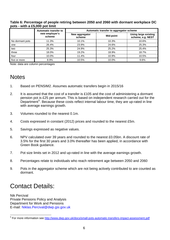#### **Table 6: Percentage of people retiring between 2050 and 2060 with dormant workplace DC pots - with a £5,000 pot limit**

|                 | Automatic transfer to    | Automatic transfer to aggregator scheme |           |                                                  |  |  |  |  |
|-----------------|--------------------------|-----------------------------------------|-----------|--------------------------------------------------|--|--|--|--|
|                 | new employer's<br>scheme | New aggregator<br>scheme                | Mid-point | <b>Using large existing</b><br>scheme, e.g. NEST |  |  |  |  |
| No dormant pots | 11.3%                    | 10.1%                                   | 10.3%     | 10.6%                                            |  |  |  |  |
| one             | 26.4%                    | 23.9%                                   | 24.6%     | 25.3%                                            |  |  |  |  |
| two             | 25.3%                    | 24.9%                                   | 25.2%     | 25.4%                                            |  |  |  |  |
| three           | 18.0%                    | 19.2%                                   | 18.9%     | 18.7%                                            |  |  |  |  |
| four            | 10.0%                    | 11.4%                                   | 10.9%     | 10.5%                                            |  |  |  |  |
| five or more    | 8.9%                     | 10.5%                                   | 10.0%     | 9.6%                                             |  |  |  |  |

Note: data are column percentages

### **Notes**

- 1. Based on PENSIM2. Assumes automatic transfers begin in 2015/16
- 2. It is assumed that the cost of a transfer is £105 and the cost of administering a dormant pension pot is £25 per annum. This is based on independent research carried out for the Department<sup>[5](#page-5-0)</sup>. Because these costs reflect internal labour time, they are up-rated in line with average earnings growth.
- 3. Volumes rounded to the nearest 0.1m.
- 4. Costs expressed in constant (2012) prices and rounded to the nearest £5m.
- 5. Savings expressed as negative values.
- 6. NPV calculated over 39 years and rounded to the nearest £0.05bn. A discount rate of 3.5% for the first 30 years and 3.0% thereafter has been applied, in accordance with Green Book guidance.
- 7. Pot size limits set in 2012 and up-rated in line with the average earnings growth.
- 8. Percentages relate to individuals who reach retirement age between 2050 and 2060
- 9. Pots in the aggregator scheme which are not being actively contributed to are counted as dormant.

## Contact Details:

 $\overline{a}$ 

Nik Percival Private Pensions Policy and Analysis Department for Work and Pensions E-mail: Niklas.Percival@dwp.gsi.gov.uk

<span id="page-5-0"></span><sup>&</sup>lt;sup>5</sup> For more information see<http://www.dwp.gov.uk/docs/small-pots-automatic-transfers-impact-assessment.pdf>